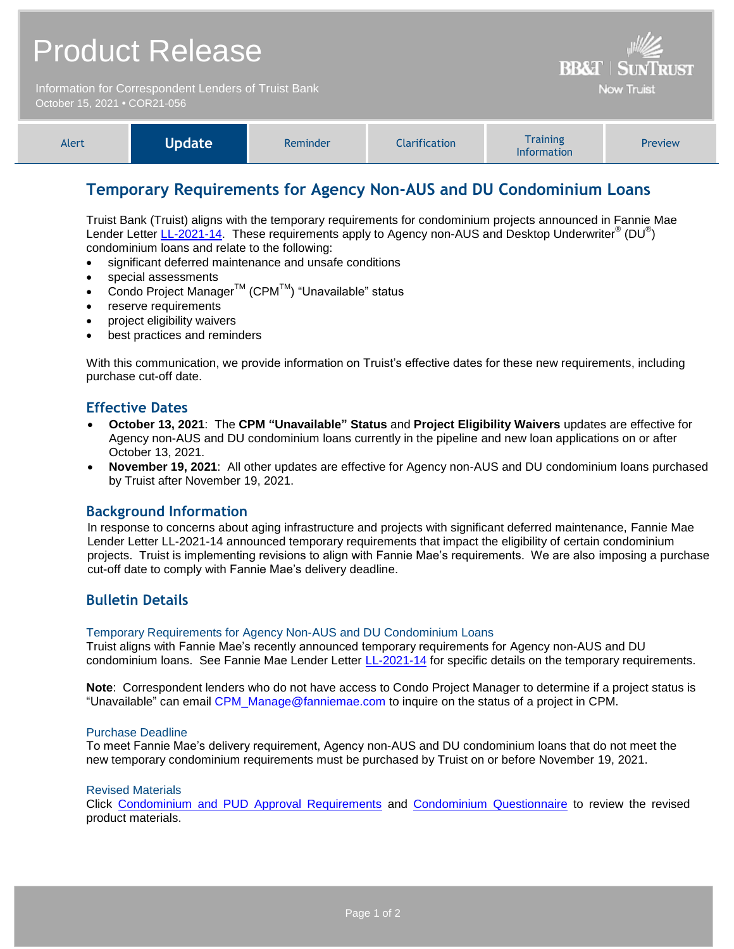| <b>Product Release</b>                                                               |               |          |                      | <b>BB&amp;T   SUNTRUST</b>            |         |
|--------------------------------------------------------------------------------------|---------------|----------|----------------------|---------------------------------------|---------|
| Information for Correspondent Lenders of Truist Bank<br>October 15, 2021 • COR21-056 |               |          |                      | <b>Now Truist</b>                     |         |
| Alert                                                                                | <b>Update</b> | Reminder | <b>Clarification</b> | <b>Training</b><br><b>Information</b> | Preview |

# **Temporary Requirements for Agency Non-AUS and DU Condominium Loans**

Truist Bank (Truist) aligns with the temporary requirements for condominium projects announced in Fannie Mae Lender Letter [LL-2021-14.](https://singlefamily.fanniemae.com/media/29411/display) These requirements apply to Agency non-AUS and Desktop Underwriter® (DU®) condominium loans and relate to the following:

- significant deferred maintenance and unsafe conditions
- special assessments
- Condo Project Manager<sup>™</sup> (CPM<sup>™</sup>) "Unavailable" status
- reserve requirements
- project eligibility waivers
- best practices and reminders

With this communication, we provide information on Truist's effective dates for these new requirements, including purchase cut-off date.

### **Effective Dates**

- **October 13, 2021**: The **CPM "Unavailable" Status** and **Project Eligibility Waivers** updates are effective for Agency non-AUS and DU condominium loans currently in the pipeline and new loan applications on or after October 13, 2021.
- **November 19, 2021**: All other updates are effective for Agency non-AUS and DU condominium loans purchased by Truist after November 19, 2021.

### **Background Information**

In response to concerns about aging infrastructure and projects with significant deferred maintenance, Fannie Mae Lender Letter LL-2021-14 announced temporary requirements that impact the eligibility of certain condominium projects. Truist is implementing revisions to align with Fannie Mae's requirements. We are also imposing a purchase cut-off date to comply with Fannie Mae's delivery deadline.

## **Bulletin Details**

#### Temporary Requirements for Agency Non-AUS and DU Condominium Loans

Truist aligns with Fannie Mae's recently announced temporary requirements for Agency non-AUS and DU condominium loans. See Fannie Mae Lender Letter [LL-2021-14](https://singlefamily.fanniemae.com/media/29411/display) for specific details on the temporary requirements.

**Note**: Correspondent lenders who do not have access to Condo Project Manager to determine if a project status is "Unavailable" can email [CPM\\_Manage@fanniemae.com](mailto:CPM_Manage@fanniemae.com) to inquire on the status of a project in CPM.

#### Purchase Deadline

To meet Fannie Mae's delivery requirement, Agency non-AUS and DU condominium loans that do not meet the new temporary condominium requirements must be purchased by Truist on or before November 19, 2021.

#### Revised Materials

Click [Condominium and PUD Approval Requirements](https://www.truistsellerguide.com/Manual/cor/general/1.06CondoPUD.pdf) and [Condominium Questionnaire](http://www.truistsellerguide.com/manual/cor/forms/COR0216.pdf) to review the revised product materials.